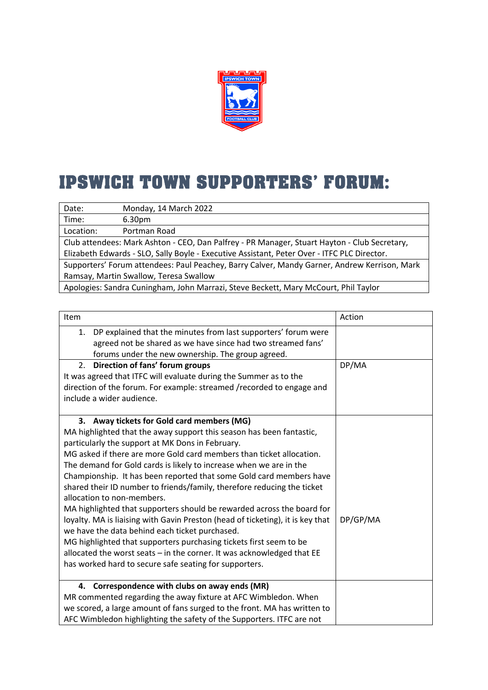

## **IPSWICH TOWN SUPPORTERS' FORUM:**

| Date:                                                                                        | Monday, 14 March 2022 |  |
|----------------------------------------------------------------------------------------------|-----------------------|--|
| Time:                                                                                        | 6.30 <sub>pm</sub>    |  |
| Location:                                                                                    | Portman Road          |  |
| Club attendees: Mark Ashton - CEO, Dan Palfrey - PR Manager, Stuart Hayton - Club Secretary, |                       |  |
| Elizabeth Edwards - SLO, Sally Boyle - Executive Assistant, Peter Over - ITFC PLC Director.  |                       |  |
| Supporters' Forum attendees: Paul Peachey, Barry Calver, Mandy Garner, Andrew Kerrison, Mark |                       |  |
| Ramsay, Martin Swallow, Teresa Swallow                                                       |                       |  |
| Apologies: Sandra Cuningham, John Marrazi, Steve Beckett, Mary McCourt, Phil Taylor          |                       |  |

| Item                                                                           | Action   |
|--------------------------------------------------------------------------------|----------|
| DP explained that the minutes from last supporters' forum were<br>1.           |          |
| agreed not be shared as we have since had two streamed fans'                   |          |
| forums under the new ownership. The group agreed.                              |          |
| Direction of fans' forum groups<br>2.                                          | DP/MA    |
| It was agreed that ITFC will evaluate during the Summer as to the              |          |
| direction of the forum. For example: streamed /recorded to engage and          |          |
| include a wider audience.                                                      |          |
|                                                                                |          |
| 3. Away tickets for Gold card members (MG)                                     |          |
| MA highlighted that the away support this season has been fantastic,           |          |
| particularly the support at MK Dons in February.                               |          |
| MG asked if there are more Gold card members than ticket allocation.           |          |
| The demand for Gold cards is likely to increase when we are in the             |          |
| Championship. It has been reported that some Gold card members have            |          |
| shared their ID number to friends/family, therefore reducing the ticket        |          |
| allocation to non-members.                                                     |          |
| MA highlighted that supporters should be rewarded across the board for         |          |
| loyalty. MA is liaising with Gavin Preston (head of ticketing), it is key that | DP/GP/MA |
| we have the data behind each ticket purchased.                                 |          |
| MG highlighted that supporters purchasing tickets first seem to be             |          |
| allocated the worst seats - in the corner. It was acknowledged that EE         |          |
| has worked hard to secure safe seating for supporters.                         |          |
|                                                                                |          |
| Correspondence with clubs on away ends (MR)<br>4.                              |          |
| MR commented regarding the away fixture at AFC Wimbledon. When                 |          |
| we scored, a large amount of fans surged to the front. MA has written to       |          |
| AFC Wimbledon highlighting the safety of the Supporters. ITFC are not          |          |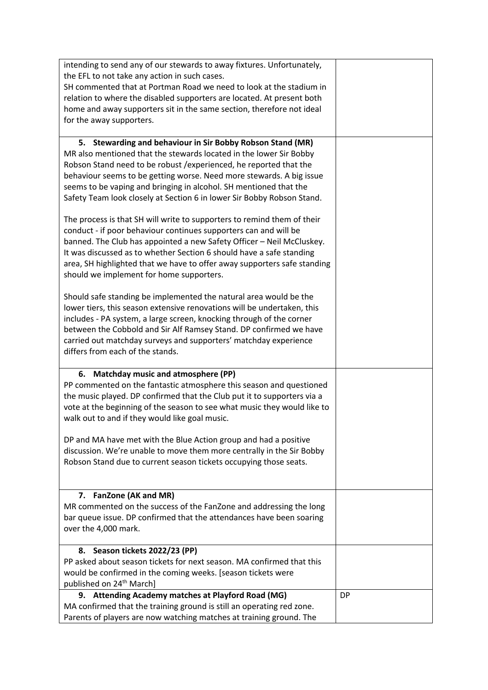| intending to send any of our stewards to away fixtures. Unfortunately,                                                                     |           |
|--------------------------------------------------------------------------------------------------------------------------------------------|-----------|
| the EFL to not take any action in such cases.                                                                                              |           |
| SH commented that at Portman Road we need to look at the stadium in                                                                        |           |
| relation to where the disabled supporters are located. At present both                                                                     |           |
| home and away supporters sit in the same section, therefore not ideal                                                                      |           |
| for the away supporters.                                                                                                                   |           |
| 5. Stewarding and behaviour in Sir Bobby Robson Stand (MR)                                                                                 |           |
| MR also mentioned that the stewards located in the lower Sir Bobby                                                                         |           |
| Robson Stand need to be robust / experienced, he reported that the                                                                         |           |
| behaviour seems to be getting worse. Need more stewards. A big issue                                                                       |           |
| seems to be vaping and bringing in alcohol. SH mentioned that the                                                                          |           |
| Safety Team look closely at Section 6 in lower Sir Bobby Robson Stand.                                                                     |           |
| The process is that SH will write to supporters to remind them of their                                                                    |           |
| conduct - if poor behaviour continues supporters can and will be                                                                           |           |
| banned. The Club has appointed a new Safety Officer - Neil McCluskey.                                                                      |           |
| It was discussed as to whether Section 6 should have a safe standing                                                                       |           |
| area, SH highlighted that we have to offer away supporters safe standing                                                                   |           |
| should we implement for home supporters.                                                                                                   |           |
| Should safe standing be implemented the natural area would be the                                                                          |           |
| lower tiers, this season extensive renovations will be undertaken, this                                                                    |           |
| includes - PA system, a large screen, knocking through of the corner                                                                       |           |
| between the Cobbold and Sir Alf Ramsey Stand. DP confirmed we have                                                                         |           |
| carried out matchday surveys and supporters' matchday experience                                                                           |           |
| differs from each of the stands.                                                                                                           |           |
| 6. Matchday music and atmosphere (PP)                                                                                                      |           |
| PP commented on the fantastic atmosphere this season and questioned                                                                        |           |
| the music played. DP confirmed that the Club put it to supporters via a                                                                    |           |
| vote at the beginning of the season to see what music they would like to                                                                   |           |
| walk out to and if they would like goal music.                                                                                             |           |
|                                                                                                                                            |           |
| DP and MA have met with the Blue Action group and had a positive                                                                           |           |
| discussion. We're unable to move them more centrally in the Sir Bobby<br>Robson Stand due to current season tickets occupying those seats. |           |
|                                                                                                                                            |           |
|                                                                                                                                            |           |
| 7. FanZone (AK and MR)                                                                                                                     |           |
| MR commented on the success of the FanZone and addressing the long                                                                         |           |
| bar queue issue. DP confirmed that the attendances have been soaring                                                                       |           |
| over the 4,000 mark.                                                                                                                       |           |
| 8. Season tickets 2022/23 (PP)                                                                                                             |           |
| PP asked about season tickets for next season. MA confirmed that this                                                                      |           |
| would be confirmed in the coming weeks. [season tickets were                                                                               |           |
| published on 24 <sup>th</sup> March]                                                                                                       |           |
| 9. Attending Academy matches at Playford Road (MG)                                                                                         | <b>DP</b> |
| MA confirmed that the training ground is still an operating red zone.                                                                      |           |
| Parents of players are now watching matches at training ground. The                                                                        |           |